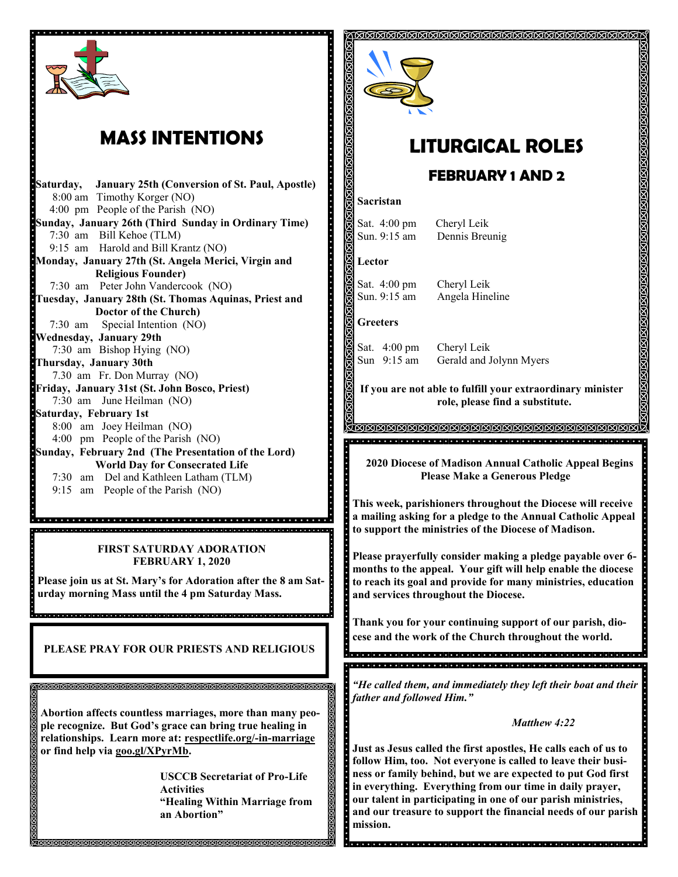

## **MASS INTENTIONS**

**Saturday, January 25th (Conversion of St. Paul, Apostle)**  8:00 am Timothy Korger (NO) 4:00 pm People of the Parish (NO) **Sunday, January 26th (Third Sunday in Ordinary Time)** 7:30 am Bill Kehoe (TLM) 9:15 am Harold and Bill Krantz (NO) **Monday, January 27th (St. Angela Merici, Virgin and Religious Founder)** 7:30 am Peter John Vandercook (NO) **Tuesday, January 28th (St. Thomas Aquinas, Priest and Doctor of the Church)** 7:30 am Special Intention (NO) **Wednesday, January 29th**  7:30 am Bishop Hying (NO) **Thursday, January 30th** 7.30 am Fr. Don Murray (NO) **Friday, January 31st (St. John Bosco, Priest)** 7:30 am June Heilman (NO) **Saturday, February 1st** 8:00 am Joey Heilman (NO) 4:00 pm People of the Parish (NO) **Sunday, February 2nd (The Presentation of the Lord) World Day for Consecrated Life**  7:30 am Del and Kathleen Latham (TLM) 9:15 am People of the Parish (NO)

ja de elebentario elebentario elebentario elebentario elebentario elebentario elebentario elebentario elebenta **FIRST SATURDAY ADORATION FEBRUARY 1, 2020**

**Please join us at St. Mary's for Adoration after the 8 am Saturday morning Mass until the 4 pm Saturday Mass.**

**PLEASE PRAY FOR OUR PRIESTS AND RELIGIOUS** 

।<br>ଗଗଗଗଗଗଗଗଗଗଗଗଗଗଗଗଗଗଗଗଗଗଗଗଗଗଗଗଗଗଗ

a<br>do o concladado a capacidade do obracionado e o conclusión de porte de la conclusión de proprocio do conclada

**Abortion affects countless marriages, more than many people recognize. But God's grace can bring true healing in relationships. Learn more at: respectlife.org/-in-marriage or find help via goo.gl/XPyrMb.**

> **USCCB Secretariat of Pro-Life Activities "Healing Within Marriage from an Abortion"**



# **LITURGICAL ROLES**

ଶଗଗଗଗଗଗଗଗଗଗଗଗଗଗଗଗଗଗଗଗଗଗଗଗଗଗଗଗ

### **FEBRUARY 1 AND 2**

#### **Sacristan**

Sat. 4:00 pm Cheryl Leik Sun. 9:15 am Dennis Breunig

#### **Lector**

Sat. 4:00 pm Cheryl Leik Sun. 9:15 am Angela Hineline

### **Greeters**

 $\ddot{\cdot}$ 

Sat. 4:00 pm Cheryl Leik<br>Sun 9:15 am Gerald and J Gerald and Jolynn Myers

**If you are not able to fulfill your extraordinary minister role, please find a substitute.** 

TAMMAMAMAMAMAMAMAMAMAMAMAMA <u>general postorio de la decida de la decida de la serie de decida de la decida de la decida de la decida de la</u>

 **2020 Diocese of Madison Annual Catholic Appeal Begins Please Make a Generous Pledge**

**This week, parishioners throughout the Diocese will receive a mailing asking for a pledge to the Annual Catholic Appeal to support the ministries of the Diocese of Madison.**

**Please prayerfully consider making a pledge payable over 6 months to the appeal. Your gift will help enable the diocese to reach its goal and provide for many ministries, education and services throughout the Diocese.**

**Thank you for your continuing support of our parish, diocese and the work of the Church throughout the world.**

*"He called them, and immediately they left their boat and their father and followed Him."*

### *Matthew 4:22*

**Just as Jesus called the first apostles, He calls each of us to follow Him, too. Not everyone is called to leave their business or family behind, but we are expected to put God first in everything. Everything from our time in daily prayer, our talent in participating in one of our parish ministries, and our treasure to support the financial needs of our parish mission.** 

المراجع والمراجع والمالم المراجع والمراجع المراجع المراجع المراجع المراجع المراجع المراجع المراجع المراجع المراجع